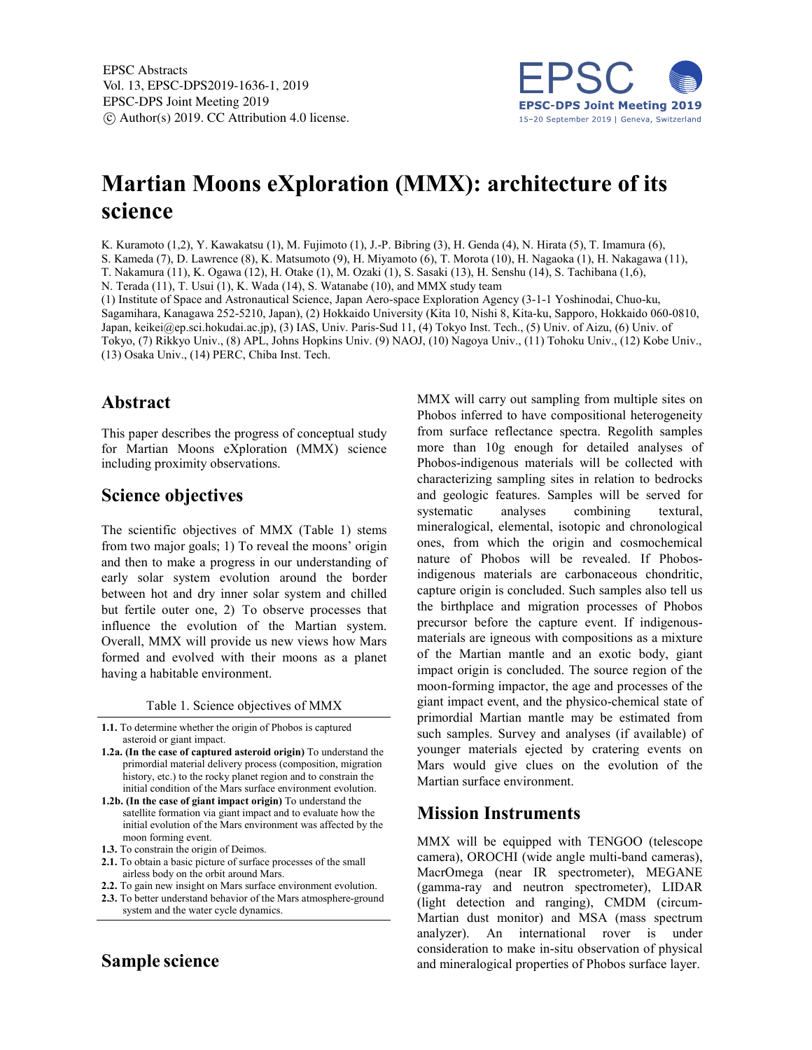

# **Martian Moons eXploration (MMX): architecture of its science**

K. Kuramoto (1,2), Y. Kawakatsu (1), M. Fujimoto (1), J.-P. Bibring (3), H. Genda (4), N. Hirata (5), T. Imamura (6), S. Kameda (7), D. Lawrence (8), K. Matsumoto (9), H. Miyamoto (6), T. Morota (10), H. Nagaoka (1), H. Nakagawa (11),

T. Nakamura (11), K. Ogawa (12), H. Otake (1), M. Ozaki (1), S. Sasaki (13), H. Senshu (14), S. Tachibana (1,6),

N. Terada (11), T. Usui (1), K. Wada (14), S. Watanabe (10), and MMX study team

(1) Institute of Space and Astronautical Science, Japan Aero-space Exploration Agency (3-1-1 Yoshinodai, Chuo-ku, Sagamihara, Kanagawa 252-5210, Japan), (2) Hokkaido University (Kita 10, Nishi 8, Kita-ku, Sapporo, Hokkaido 060-0810, Japan, keikei@ep.sci.hokudai.ac.jp), (3) IAS, Univ. Paris-Sud 11, (4) Tokyo Inst. Tech., (5) Univ. of Aizu, (6) Univ. of Tokyo, (7) Rikkyo Univ., (8) APL, Johns Hopkins Univ. (9) NAOJ, (10) Nagoya Univ., (11) Tohoku Univ., (12) Kobe Univ., (13) Osaka Univ., (14) PERC, Chiba Inst. Tech.

### **Abstract**

This paper describes the progress of conceptual study for Martian Moons eXploration (MMX) science including proximity observations.

## **Science objectives**

The scientific objectives of MMX (Table 1) stems from two major goals; 1) To reveal the moons' origin and then to make a progress in our understanding of early solar system evolution around the border between hot and dry inner solar system and chilled but fertile outer one, 2) To observe processes that influence the evolution of the Martian system. Overall, MMX will provide us new views how Mars formed and evolved with their moons as a planet having a habitable environment.

Table 1. Science objectives of MMX

**1.1.** To determine whether the origin of Phobos is captured asteroid or giant impact.

- **1.2a. (In the case of captured asteroid origin)** To understand the primordial material delivery process (composition, migration history, etc.) to the rocky planet region and to constrain the initial condition of the Mars surface environment evolution.
- **1.2b. (In the case of giant impact origin)** To understand the satellite formation via giant impact and to evaluate how the initial evolution of the Mars environment was affected by the moon forming event.
- **1.3.** To constrain the origin of Deimos.
- **2.1.** To obtain a basic picture of surface processes of the small airless body on the orbit around Mars.
- **2.2.** To gain new insight on Mars surface environment evolution.
- **2.3.** To better understand behavior of the Mars atmosphere-ground system and the water cycle dynamics.

## **Sample science**

MMX will carry out sampling from multiple sites on Phobos inferred to have compositional heterogeneity from surface reflectance spectra. Regolith samples more than 10g enough for detailed analyses of Phobos-indigenous materials will be collected with characterizing sampling sites in relation to bedrocks and geologic features. Samples will be served for systematic analyses combining textural, mineralogical, elemental, isotopic and chronological ones, from which the origin and cosmochemical nature of Phobos will be revealed. If Phobosindigenous materials are carbonaceous chondritic, capture origin is concluded. Such samples also tell us the birthplace and migration processes of Phobos precursor before the capture event. If indigenousmaterials are igneous with compositions as a mixture of the Martian mantle and an exotic body, giant impact origin is concluded. The source region of the moon-forming impactor, the age and processes of the giant impact event, and the physico-chemical state of primordial Martian mantle may be estimated from such samples. Survey and analyses (if available) of younger materials ejected by cratering events on Mars would give clues on the evolution of the Martian surface environment.

#### **Mission Instruments**

MMX will be equipped with TENGOO (telescope camera), OROCHI (wide angle multi-band cameras), MacrOmega (near IR spectrometer), MEGANE (gamma-ray and neutron spectrometer), LIDAR (light detection and ranging), CMDM (circum-Martian dust monitor) and MSA (mass spectrum analyzer). An international rover is under consideration to make in-situ observation of physical and mineralogical properties of Phobos surface layer.